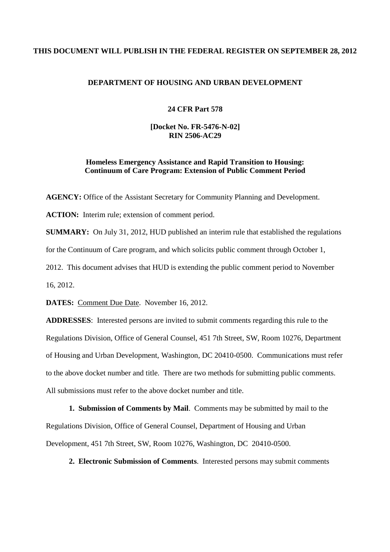# **THIS DOCUMENT WILL PUBLISH IN THE FEDERAL REGISTER ON SEPTEMBER 28, 2012**

## **DEPARTMENT OF HOUSING AND URBAN DEVELOPMENT**

#### **24 CFR Part 578**

## **[Docket No. FR-5476-N-02] RIN 2506-AC29**

## **Homeless Emergency Assistance and Rapid Transition to Housing: Continuum of Care Program: Extension of Public Comment Period**

**AGENCY:** Office of the Assistant Secretary for Community Planning and Development.

**ACTION:** Interim rule; extension of comment period.

**SUMMARY:** On July 31, 2012, HUD published an interim rule that established the regulations for the Continuum of Care program, and which solicits public comment through October 1, 2012. This document advises that HUD is extending the public comment period to November 16, 2012.

**DATES:** Comment Due Date. November 16, 2012.

**ADDRESSES**: Interested persons are invited to submit comments regarding this rule to the Regulations Division, Office of General Counsel, 451 7th Street, SW, Room 10276, Department of Housing and Urban Development, Washington, DC 20410-0500. Communications must refer to the above docket number and title. There are two methods for submitting public comments. All submissions must refer to the above docket number and title.

**1. Submission of Comments by Mail**. Comments may be submitted by mail to the Regulations Division, Office of General Counsel, Department of Housing and Urban Development, 451 7th Street, SW, Room 10276, Washington, DC 20410-0500.

**2. Electronic Submission of Comments**. Interested persons may submit comments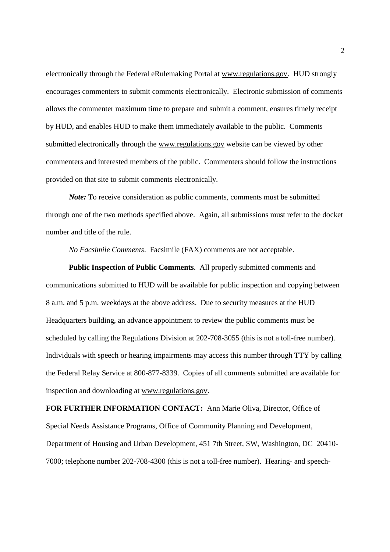electronically through the Federal eRulemaking Portal at www.regulations.gov. HUD strongly encourages commenters to submit comments electronically. Electronic submission of comments allows the commenter maximum time to prepare and submit a comment, ensures timely receipt by HUD, and enables HUD to make them immediately available to the public. Comments submitted electronically through the www.regulations.gov website can be viewed by other commenters and interested members of the public. Commenters should follow the instructions provided on that site to submit comments electronically.

*Note:* To receive consideration as public comments, comments must be submitted through one of the two methods specified above. Again, all submissions must refer to the docket number and title of the rule.

*No Facsimile Comments*. Facsimile (FAX) comments are not acceptable.

**Public Inspection of Public Comments**. All properly submitted comments and communications submitted to HUD will be available for public inspection and copying between 8 a.m. and 5 p.m. weekdays at the above address. Due to security measures at the HUD Headquarters building, an advance appointment to review the public comments must be scheduled by calling the Regulations Division at 202-708-3055 (this is not a toll-free number). Individuals with speech or hearing impairments may access this number through TTY by calling the Federal Relay Service at 800-877-8339. Copies of all comments submitted are available for inspection and downloading at www.regulations.gov.

**FOR FURTHER INFORMATION CONTACT:** Ann Marie Oliva, Director, Office of Special Needs Assistance Programs, Office of Community Planning and Development, Department of Housing and Urban Development, 451 7th Street, SW, Washington, DC 20410 7000; telephone number 202-708-4300 (this is not a toll-free number). Hearing- and speech